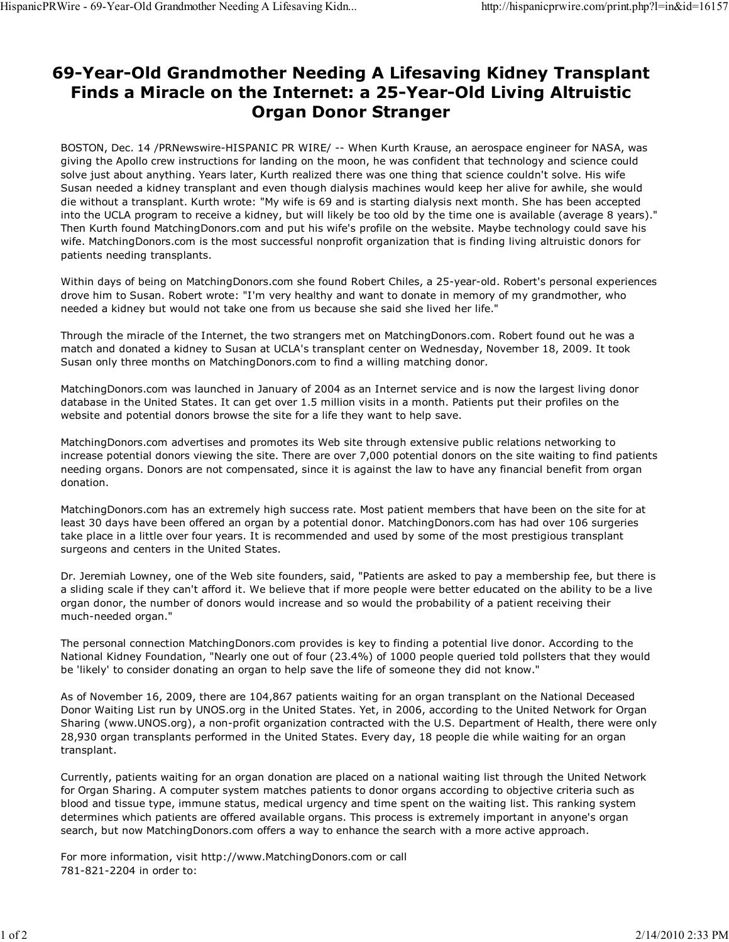## 69-Year-Old Grandmother Needing A Lifesaving Kidney Transplant Finds a Miracle on the Internet: a 25-Year-Old Living Altruistic Organ Donor Stranger

BOSTON, Dec. 14 /PRNewswire-HISPANIC PR WIRE/ -- When Kurth Krause, an aerospace engineer for NASA, was giving the Apollo crew instructions for landing on the moon, he was confident that technology and science could solve just about anything. Years later, Kurth realized there was one thing that science couldn't solve. His wife Susan needed a kidney transplant and even though dialysis machines would keep her alive for awhile, she would die without a transplant. Kurth wrote: "My wife is 69 and is starting dialysis next month. She has been accepted into the UCLA program to receive a kidney, but will likely be too old by the time one is available (average 8 years)." Then Kurth found MatchingDonors.com and put his wife's profile on the website. Maybe technology could save his wife. MatchingDonors.com is the most successful nonprofit organization that is finding living altruistic donors for patients needing transplants.

Within days of being on MatchingDonors.com she found Robert Chiles, a 25-year-old. Robert's personal experiences drove him to Susan. Robert wrote: "I'm very healthy and want to donate in memory of my grandmother, who needed a kidney but would not take one from us because she said she lived her life."

Through the miracle of the Internet, the two strangers met on MatchingDonors.com. Robert found out he was a match and donated a kidney to Susan at UCLA's transplant center on Wednesday, November 18, 2009. It took Susan only three months on MatchingDonors.com to find a willing matching donor.

MatchingDonors.com was launched in January of 2004 as an Internet service and is now the largest living donor database in the United States. It can get over 1.5 million visits in a month. Patients put their profiles on the website and potential donors browse the site for a life they want to help save.

MatchingDonors.com advertises and promotes its Web site through extensive public relations networking to increase potential donors viewing the site. There are over 7,000 potential donors on the site waiting to find patients needing organs. Donors are not compensated, since it is against the law to have any financial benefit from organ donation.

MatchingDonors.com has an extremely high success rate. Most patient members that have been on the site for at least 30 days have been offered an organ by a potential donor. MatchingDonors.com has had over 106 surgeries take place in a little over four years. It is recommended and used by some of the most prestigious transplant surgeons and centers in the United States.

Dr. Jeremiah Lowney, one of the Web site founders, said, "Patients are asked to pay a membership fee, but there is a sliding scale if they can't afford it. We believe that if more people were better educated on the ability to be a live organ donor, the number of donors would increase and so would the probability of a patient receiving their much-needed organ."

The personal connection MatchingDonors.com provides is key to finding a potential live donor. According to the National Kidney Foundation, "Nearly one out of four (23.4%) of 1000 people queried told pollsters that they would be 'likely' to consider donating an organ to help save the life of someone they did not know."

As of November 16, 2009, there are 104,867 patients waiting for an organ transplant on the National Deceased Donor Waiting List run by UNOS.org in the United States. Yet, in 2006, according to the United Network for Organ Sharing (www.UNOS.org), a non-profit organization contracted with the U.S. Department of Health, there were only 28,930 organ transplants performed in the United States. Every day, 18 people die while waiting for an organ transplant.

Currently, patients waiting for an organ donation are placed on a national waiting list through the United Network for Organ Sharing. A computer system matches patients to donor organs according to objective criteria such as blood and tissue type, immune status, medical urgency and time spent on the waiting list. This ranking system determines which patients are offered available organs. This process is extremely important in anyone's organ search, but now MatchingDonors.com offers a way to enhance the search with a more active approach.

For more information, visit http://www.MatchingDonors.com or call 781-821-2204 in order to: